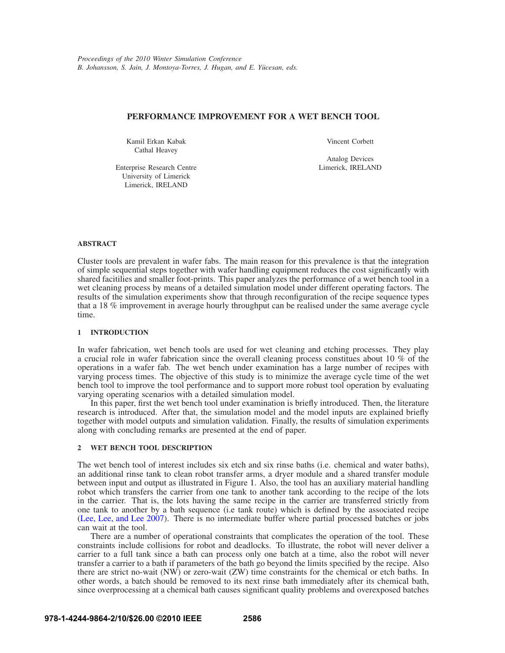# **PERFORMANCE IMPROVEMENT FOR A WET BENCH TOOL**

Kamil Erkan Kabak Cathal Heavey

Vincent Corbett

Analog Devices Limerick, IRELAND

Enterprise Research Centre University of Limerick Limerick, IRELAND

### **ABSTRACT**

Cluster tools are prevalent in wafer fabs. The main reason for this prevalence is that the integration of simple sequential steps together with wafer handling equipment reduces the cost significantly with shared facitilies and smaller foot-prints. This paper analyzes the performance of a wet bench tool in a wet cleaning process by means of a detailed simulation model under different operating factors. The results of the simulation experiments show that through reconfiguration of the recipe sequence types that a 18 % improvement in average hourly throughput can be realised under the same average cycle time.

### **1 INTRODUCTION**

In wafer fabrication, wet bench tools are used for wet cleaning and etching processes. They play a crucial role in wafer fabrication since the overall cleaning process constitues about 10 % of the operations in a wafer fab. The wet bench under examination has a large number of recipes with varying process times. The objective of this study is to minimize the average cycle time of the wet bench tool to improve the tool performance and to support more robust tool operation by evaluating varying operating scenarios with a detailed simulation model.

In this paper, first the wet bench tool under examination is briefly introduced. Then, the literature research is introduced. After that, the simulation model and the model inputs are explained briefly together with model outputs and simulation validation. Finally, the results of simulation experiments along with concluding remarks are presented at the end of paper.

# **2 WET BENCH TOOL DESCRIPTION**

The wet bench tool of interest includes six etch and six rinse baths (i.e. chemical and water baths), an additional rinse tank to clean robot transfer arms, a dryer module and a shared transfer module between input and output as illustrated in Figure 1. Also, the tool has an auxiliary material handling robot which transfers the carrier from one tank to another tank according to the recipe of the lots in the carrier. That is, the lots having the same recipe in the carrier are transferred strictly from one tank to another by a bath sequence (i.e tank route) which is defined by the associated recipe (Lee, Lee, and Lee 2007). There is no intermediate buffer where partial processed batches or jobs can wait at the tool.

There are a number of operational constraints that complicates the operation of the tool. These constraints include collisions for robot and deadlocks. To illustrate, the robot will never deliver a carrier to a full tank since a bath can process only one batch at a time, also the robot will never transfer a carrier to a bath if parameters of the bath go beyond the limits specified by the recipe. Also there are strict no-wait (NW) or zero-wait (ZW) time constraints for the chemical or etch baths. In other words, a batch should be removed to its next rinse bath immediately after its chemical bath, since overprocessing at a chemical bath causes significant quality problems and overexposed batches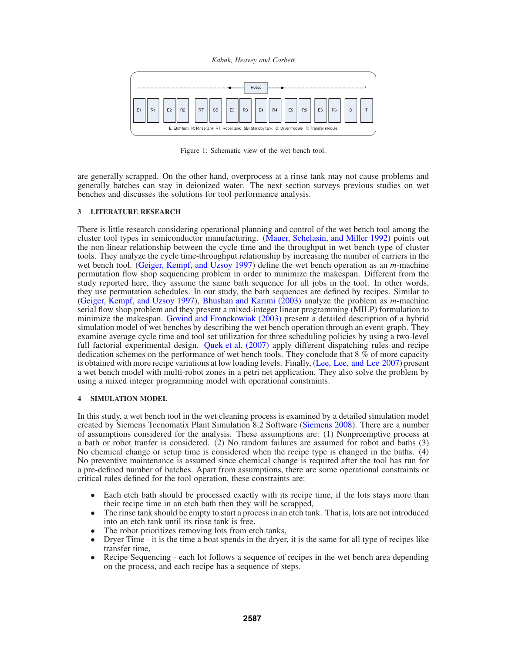*Kabak, Heavey and Corbett*



Figure 1: Schematic view of the wet bench tool.

are generally scrapped. On the other hand, overprocess at a rinse tank may not cause problems and generally batches can stay in deionized water. The next section surveys previous studies on wet benches and discusses the solutions for tool performance analysis.

# **3 LITERATURE RESEARCH**

There is little research considering operational planning and control of the wet bench tool among the cluster tool types in semiconductor manufacturing. (Mauer, Schelasin, and Miller 1992) points out the non-linear relationship between the cycle time and the throughput in wet bench type of cluster tools. They analyze the cycle time-throughput relationship by increasing the number of carriers in the wet bench tool. (Geiger, Kempf, and Uzsoy 1997) define the wet bench operation as an *m*-machine permutation flow shop sequencing problem in order to minimize the makespan. Different from the study reported here, they assume the same bath sequence for all jobs in the tool. In other words, they use permutation schedules. In our study, the bath sequences are defined by recipes. Similar to (Geiger, Kempf, and Uzsoy 1997), Bhushan and Karimi (2003) analyze the problem as *m*-machine serial flow shop problem and they present a mixed-integer linear programming (MILP) formulation to minimize the makespan. Govind and Fronckowiak (2003) present a detailed description of a hybrid simulation model of wet benches by describing the wet bench operation through an event-graph. They examine average cycle time and tool set utilization for three scheduling policies by using a two-level full factorial experimental design. Quek et al. (2007) apply different dispatching rules and recipe dedication schemes on the performance of wet bench tools. They conclude that 8 % of more capacity is obtained with more recipe variations at low loading levels. Finally, (Lee, Lee, and Lee 2007) present a wet bench model with multi-robot zones in a petri net application. They also solve the problem by using a mixed integer programming model with operational constraints.

# **4 SIMULATION MODEL**

In this study, a wet bench tool in the wet cleaning process is examined by a detailed simulation model created by Siemens Tecnomatix Plant Simulation 8.2 Software (Siemens 2008). There are a number of assumptions considered for the analysis. These assumptions are: (1) Nonpreemptive process at a bath or robot tranfer is considered. (2) No random failures are assumed for robot and baths (3) No chemical change or setup time is considered when the recipe type is changed in the baths. (4) No preventive maintenance is assumed since chemical change is required after the tool has run for a pre-defined number of batches. Apart from assumptions, there are some operational constraints or critical rules defined for the tool operation, these constraints are:

- Each etch bath should be processed exactly with its recipe time, if the lots stays more than their recipe time in an etch bath then they will be scrapped,
- The rinse tank should be empty to start a process in an etch tank. That is, lots are not introduced into an etch tank until its rinse tank is free,
- The robot prioritizes removing lots from etch tanks,
- Dryer Time it is the time a boat spends in the dryer, it is the same for all type of recipes like transfer time,
- Recipe Sequencing each lot follows a sequence of recipes in the wet bench area depending on the process, and each recipe has a sequence of steps.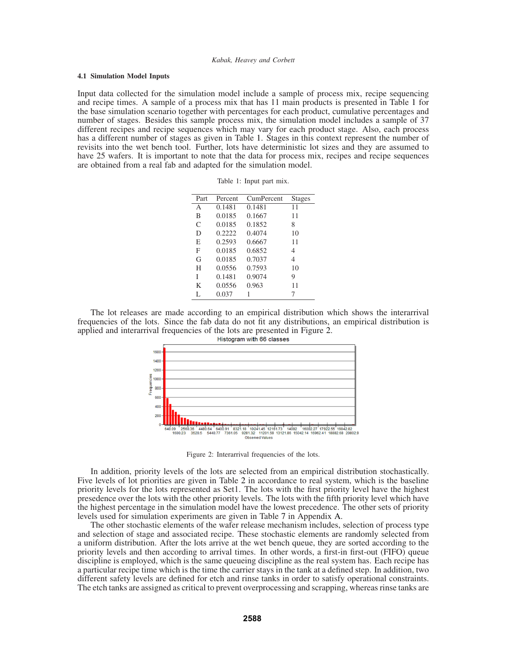### **4.1 Simulation Model Inputs**

Input data collected for the simulation model include a sample of process mix, recipe sequencing and recipe times. A sample of a process mix that has 11 main products is presented in Table 1 for the base simulation scenario together with percentages for each product, cumulative percentages and number of stages. Besides this sample process mix, the simulation model includes a sample of 37 different recipes and recipe sequences which may vary for each product stage. Also, each process has a different number of stages as given in Table 1. Stages in this context represent the number of revisits into the wet bench tool. Further, lots have deterministic lot sizes and they are assumed to have 25 wafers. It is important to note that the data for process mix, recipes and recipe sequences are obtained from a real fab and adapted for the simulation model.

Table 1: Input part mix.

| Part         | Percent | CumPercent | <b>Stages</b> |
|--------------|---------|------------|---------------|
| $\mathsf{A}$ | 0.1481  | 0.1481     | 11            |
| B            | 0.0185  | 0.1667     | 11            |
| C            | 0.0185  | 0.1852     | 8             |
| D            | 0.2222  | 0.4074     | 10            |
| E            | 0.2593  | 0.6667     | 11            |
| F            | 0.0185  | 0.6852     | 4             |
| G            | 0.0185  | 0.7037     | 4             |
| H            | 0.0556  | 0.7593     | 10            |
| T            | 0.1481  | 0.9074     | 9             |
| K            | 0.0556  | 0.963      | 11            |
| L            | 0.037   | 1          |               |
|              |         |            |               |

The lot releases are made according to an empirical distribution which shows the interarrival frequencies of the lots. Since the fab data do not fit any distributions, an empirical distribution is applied and interarrival frequencies of the lots are presented in Figure 2.



Figure 2: Interarrival frequencies of the lots.

In addition, priority levels of the lots are selected from an empirical distribution stochastically. Five levels of lot priorities are given in Table 2 in accordance to real system, which is the baseline priority levels for the lots represented as Set1. The lots with the first priority level have the highest presedence over the lots with the other priority levels. The lots with the fifth priority level which have the highest percentage in the simulation model have the lowest precedence. The other sets of priority levels used for simulation experiments are given in Table 7 in Appendix A.

The other stochastic elements of the wafer release mechanism includes, selection of process type and selection of stage and associated recipe. These stochastic elements are randomly selected from a uniform distribution. After the lots arrive at the wet bench queue, they are sorted according to the priority levels and then according to arrival times. In other words, a first-in first-out (FIFO) queue discipline is employed, which is the same queueing discipline as the real system has. Each recipe has a particular recipe time which is the time the carrier stays in the tank at a defined step. In addition, two different safety levels are defined for etch and rinse tanks in order to satisfy operational constraints. The etch tanks are assigned as critical to prevent overprocessing and scrapping, whereas rinse tanks are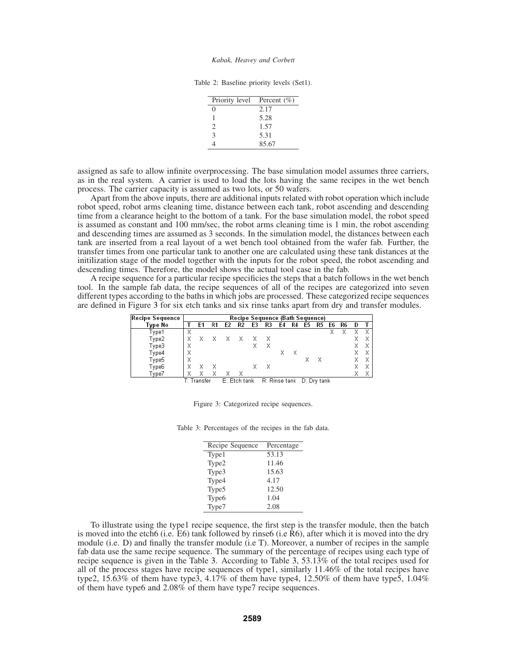#### *Kabak, Heavey and Corbett*

Table 2: Baseline priority levels (Set1).

| Priority level                | Percent $(\% )$ |
|-------------------------------|-----------------|
| $\left( \right)$              | 2.17            |
|                               | 5.28            |
| $\mathfrak{D}_{\mathfrak{p}}$ | 1.57            |
| $\mathcal{R}$                 | 5.31            |
|                               | 85.67           |

assigned as safe to allow infinite overprocessing. The base simulation model assumes three carriers, as in the real system. A carrier is used to load the lots having the same recipes in the wet bench process. The carrier capacity is assumed as two lots, or 50 wafers.

Apart from the above inputs, there are additional inputs related with robot operation which include robot speed, robot arms cleaning time, distance between each tank, robot ascending and descending time from a clearance height to the bottom of a tank. For the base simulation model, the robot speed is assumed as constant and 100 mm/sec, the robot arms cleaning time is 1 min, the robot ascending and descending times are assumed as 3 seconds. In the simulation model, the distances between each tank are inserted from a real layout of a wet bench tool obtained from the wafer fab. Further, the transfer times from one particular tank to another one are calculated using these tank distances at the initilization stage of the model together with the inputs for the robot speed, the robot ascending and descending times. Therefore, the model shows the actual tool case in the fab.

A recipe sequence for a particular recipe specificies the steps that a batch follows in the wet bench tool. In the sample fab data, the recipe sequences of all of the recipes are categorized into seven different types according to the baths in which jobs are processed. These categorized recipe sequences are defined in Figure 3 for six etch tanks and six rinse tanks apart from dry and transfer modules.

| Recipe Sequence |   | Recipe Sequence (Bath Sequence) |    |    |              |    |               |    |    |    |             |    |    |   |   |
|-----------------|---|---------------------------------|----|----|--------------|----|---------------|----|----|----|-------------|----|----|---|---|
| Type No         |   |                                 | R1 | F2 | R2           | E3 | R3            | E4 | R4 | E5 | R5          | E6 | R6 |   |   |
| Type1           | Χ |                                 |    |    |              |    |               |    |    |    |             |    |    |   | Χ |
| Type2           |   |                                 |    |    | χ            |    |               |    |    |    |             |    |    | Χ | Χ |
| Type3           | Χ |                                 |    |    |              | Χ  | Χ             |    |    |    |             |    |    | Χ | Χ |
| Type4           | Χ |                                 |    |    |              |    |               |    | Χ  |    |             |    |    | Χ | Χ |
| Type5           | Χ |                                 |    |    |              |    |               |    |    |    | Χ           |    |    | Χ | Χ |
| Туре6           | Χ |                                 | Χ  |    |              |    | Χ             |    |    |    |             |    |    | Χ | Χ |
| Type7           |   |                                 |    |    |              |    |               |    |    |    |             |    |    |   | Χ |
|                 |   | Transfer                        |    |    | E: Etch tank |    | R: Rinse tank |    |    |    | D: Dry tank |    |    |   |   |

Figure 3: Categorized recipe sequences.

Table 3: Percentages of the recipes in the fab data.

| Recipe Sequence   | Percentage |
|-------------------|------------|
| Type1             | 53.13      |
| Type2             | 11.46      |
| Type3             | 15.63      |
| Type4             | 4.17       |
| Type <sub>5</sub> | 12.50      |
| Type <sub>6</sub> | 1.04       |
| Type7             | 2.08       |

To illustrate using the type1 recipe sequence, the first step is the transfer module, then the batch is moved into the etch6 (i.e. E6) tank followed by rinse6 (i.e R6), after which it is moved into the dry module (i.e. D) and finally the transfer module (i.e T). Moreover, a number of recipes in the sample fab data use the same recipe sequence. The summary of the percentage of recipes using each type of recipe sequence is given in the Table 3. According to Table 3, 53.13% of the total recipes used for all of the process stages have recipe sequences of type1, similarly 11.46% of the total recipes have type2, 15.63% of them have type3, 4.17% of them have type4, 12.50% of them have type5, 1.04% of them have type6 and 2.08% of them have type7 recipe sequences.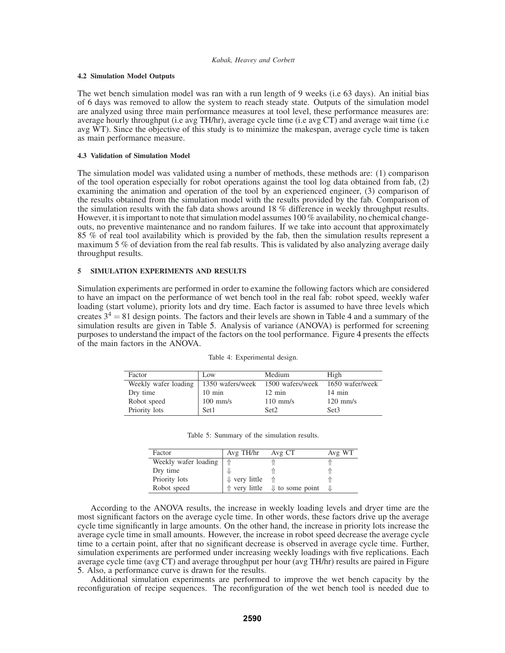### *Kabak, Heavey and Corbett*

# **4.2 Simulation Model Outputs**

The wet bench simulation model was ran with a run length of 9 weeks (i.e 63 days). An initial bias of 6 days was removed to allow the system to reach steady state. Outputs of the simulation model are analyzed using three main performance measures at tool level, these performance measures are: average hourly throughput (i.e avg TH/hr), average cycle time (i.e avg CT) and average wait time (i.e avg WT). Since the objective of this study is to minimize the makespan, average cycle time is taken as main performance measure.

# **4.3 Validation of Simulation Model**

The simulation model was validated using a number of methods, these methods are: (1) comparison of the tool operation especially for robot operations against the tool log data obtained from fab, (2) examining the animation and operation of the tool by an experienced engineer, (3) comparison of the results obtained from the simulation model with the results provided by the fab. Comparison of the simulation results with the fab data shows around 18 % difference in weekly throughput results. However, it is important to note that simulation model assumes 100 % availability, no chemical changeouts, no preventive maintenance and no random failures. If we take into account that approximately 85 % of real tool availability which is provided by the fab, then the simulation results represent a maximum 5 % of deviation from the real fab results. This is validated by also analyzing average daily throughput results.

# **5 SIMULATION EXPERIMENTS AND RESULTS**

Simulation experiments are performed in order to examine the following factors which are considered to have an impact on the performance of wet bench tool in the real fab: robot speed, weekly wafer loading (start volume), priority lots and dry time. Each factor is assumed to have three levels which creates  $3<sup>4</sup> = 81$  design points. The factors and their levels are shown in Table 4 and a summary of the simulation results are given in Table 5. Analysis of variance (ANOVA) is performed for screening purposes to understand the impact of the factors on the tool performance. Figure 4 presents the effects of the main factors in the ANOVA.

| Factor               | Low              | Medium                                            | High               |
|----------------------|------------------|---------------------------------------------------|--------------------|
| Weekly wafer loading |                  | 1350 wafers/week 1500 wafers/week 1650 wafer/week |                    |
| Dry time             | $10 \text{ min}$ | $12 \text{ min}$                                  | $14 \text{ min}$   |
| Robot speed          | $100$ mm/s       | $110$ mm/s                                        | $120 \text{ mm/s}$ |
| Priority lots        | Set1             | Set2                                              | Set <sub>3</sub>   |

Table 5: Summary of the simulation results.

| Factor               | Avg TH/hr                | Avg CT                                            | Avg WT |
|----------------------|--------------------------|---------------------------------------------------|--------|
| Weekly wafer loading |                          |                                                   |        |
| Dry time             |                          |                                                   |        |
| Priority lots        | $\Downarrow$ very little |                                                   |        |
| Robot speed          |                          | $\Uparrow$ very little $\Downarrow$ to some point |        |

According to the ANOVA results, the increase in weekly loading levels and dryer time are the most significant factors on the average cycle time. In other words, these factors drive up the average cycle time significantly in large amounts. On the other hand, the increase in priority lots increase the average cycle time in small amounts. However, the increase in robot speed decrease the average cycle time to a certain point, after that no significant decrease is observed in average cycle time. Further, simulation experiments are performed under increasing weekly loadings with five replications. Each average cycle time (avg CT) and average throughput per hour (avg TH/hr) results are paired in Figure 5. Also, a performance curve is drawn for the results.

Additional simulation experiments are performed to improve the wet bench capacity by the reconfiguration of recipe sequences. The reconfiguration of the wet bench tool is needed due to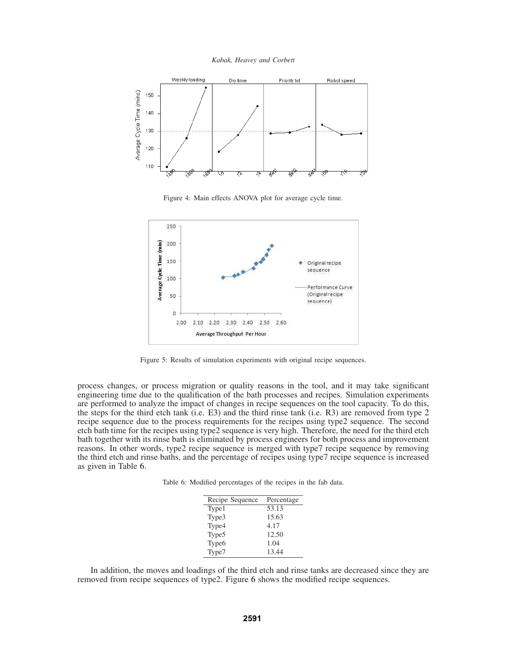



Figure 4: Main effects ANOVA plot for average cycle time.



Figure 5: Results of simulation experiments with original recipe sequences.

process changes, or process migration or quality reasons in the tool, and it may take significant engineering time due to the qualification of the bath processes and recipes. Simulation experiments are performed to analyze the impact of changes in recipe sequences on the tool capacity. To do this, the steps for the third etch tank (i.e. E3) and the third rinse tank (i.e. R3) are removed from type 2 recipe sequence due to the process requirements for the recipes using type2 sequence. The second etch bath time for the recipes using type2 sequence is very high. Therefore, the need for the third etch bath together with its rinse bath is eliminated by process engineers for both process and improvement reasons. In other words, type2 recipe sequence is merged with type7 recipe sequence by removing the third etch and rinse baths, and the percentage of recipes using type7 recipe sequence is increased as given in Table 6.

Table 6: Modified percentages of the recipes in the fab data.

| Recipe Sequence   | Percentage |
|-------------------|------------|
| Type1             | 53.13      |
| Type3             | 15.63      |
| Type4             | 4.17       |
| Type <sub>5</sub> | 12.50      |
| Type <sub>6</sub> | 1.04       |
| Type7             | 13.44      |

In addition, the moves and loadings of the third etch and rinse tanks are decreased since they are removed from recipe sequences of type2. Figure 6 shows the modified recipe sequences.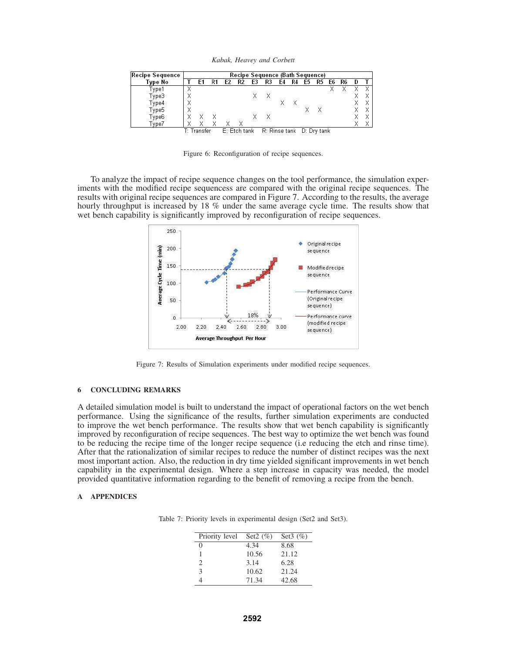| Recipe Sequence |   | Recipe Sequence (Bath Sequence) |    |    |              |    |               |  |    |    |             |    |    |   |
|-----------------|---|---------------------------------|----|----|--------------|----|---------------|--|----|----|-------------|----|----|---|
| Type No         |   |                                 | R1 | F2 | R2           | E3 | R3            |  | R4 | E5 | R5          | E6 | R6 |   |
| Type1           | Χ |                                 |    |    |              |    |               |  |    |    |             |    | Χ  |   |
| ТүреЗ           | Χ |                                 |    |    |              |    |               |  |    |    |             |    |    |   |
| Түре4           | Χ |                                 |    |    |              |    |               |  |    |    |             |    |    |   |
| Type5           | Χ |                                 |    |    |              |    |               |  |    |    | X           |    |    |   |
| Туре6           | Χ | Χ                               |    |    |              |    | Χ             |  |    |    |             |    |    |   |
| Type7           | v | Χ                               | Χ  | Χ  | Χ            |    |               |  |    |    |             |    |    | v |
|                 |   | Fransfer                        |    |    | F: Etch tank |    | R: Rinse tank |  |    |    | D: Dry tank |    |    |   |

Figure 6: Reconfiguration of recipe sequences.

To analyze the impact of recipe sequence changes on the tool performance, the simulation experiments with the modified recipe sequencess are compared with the original recipe sequences. The results with original recipe sequences are compared in Figure 7. According to the results, the average hourly throughput is increased by 18 % under the same average cycle time. The results show that wet bench capability is significantly improved by reconfiguration of recipe sequences.



Figure 7: Results of Simulation experiments under modified recipe sequences.

# **6 CONCLUDING REMARKS**

A detailed simulation model is built to understand the impact of operational factors on the wet bench performance. Using the significance of the results, further simulation experiments are conducted to improve the wet bench performance. The results show that wet bench capability is significantly improved by reconfiguration of recipe sequences. The best way to optimize the wet bench was found to be reducing the recipe time of the longer recipe sequence (i.e reducing the etch and rinse time). After that the rationalization of similar recipes to reduce the number of distinct recipes was the next most important action. Also, the reduction in dry time yielded significant improvements in wet bench capability in the experimental design. Where a step increase in capacity was needed, the model provided quantitative information regarding to the benefit of removing a recipe from the bench.

### **A APPENDICES**

| Priority level              | Set2 $(\%)$ | Set3 $(\%)$ |
|-----------------------------|-------------|-------------|
| $\lq$                       | 4.34        | 8.68        |
|                             | 10.56       | 21.12       |
| $\mathcal{D}_{\mathcal{L}}$ | 3.14        | 6.28        |
| $\mathbf{R}$                | 10.62       | 21.24       |
|                             | 71.34       | 42.68       |

Table 7: Priority levels in experimental design (Set2 and Set3).